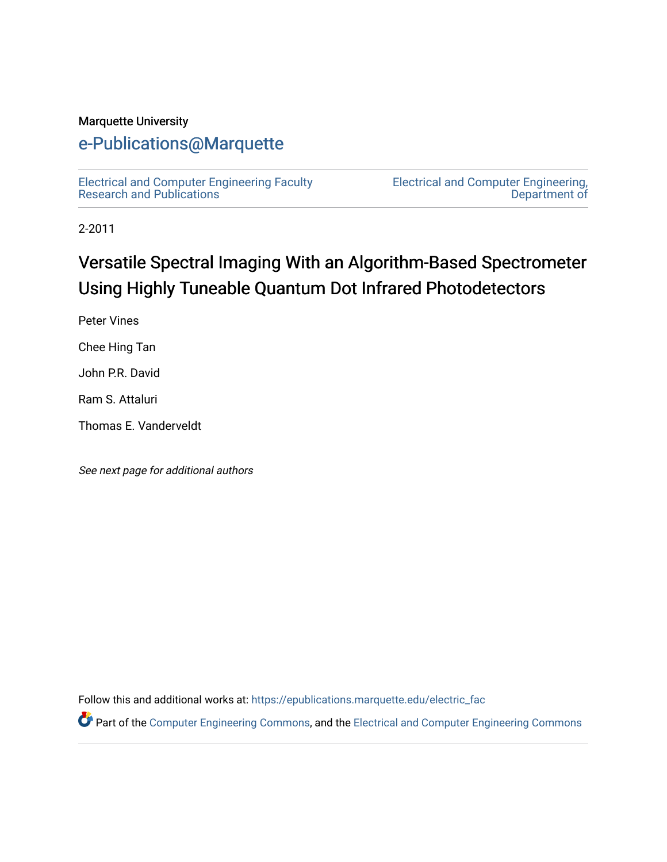#### Marquette University

# [e-Publications@Marquette](https://epublications.marquette.edu/)

[Electrical and Computer Engineering Faculty](https://epublications.marquette.edu/electric_fac) [Research and Publications](https://epublications.marquette.edu/electric_fac) 

[Electrical and Computer Engineering,](https://epublications.marquette.edu/electric)  [Department of](https://epublications.marquette.edu/electric) 

2-2011

# Versatile Spectral Imaging With an Algorithm-Based Spectrometer Using Highly Tuneable Quantum Dot Infrared Photodetectors

Peter Vines

Chee Hing Tan

John P.R. David

Ram S. Attaluri

Thomas E. Vanderveldt

See next page for additional authors

Follow this and additional works at: [https://epublications.marquette.edu/electric\\_fac](https://epublications.marquette.edu/electric_fac?utm_source=epublications.marquette.edu%2Felectric_fac%2F547&utm_medium=PDF&utm_campaign=PDFCoverPages) 

Part of the [Computer Engineering Commons,](http://network.bepress.com/hgg/discipline/258?utm_source=epublications.marquette.edu%2Felectric_fac%2F547&utm_medium=PDF&utm_campaign=PDFCoverPages) and the [Electrical and Computer Engineering Commons](http://network.bepress.com/hgg/discipline/266?utm_source=epublications.marquette.edu%2Felectric_fac%2F547&utm_medium=PDF&utm_campaign=PDFCoverPages)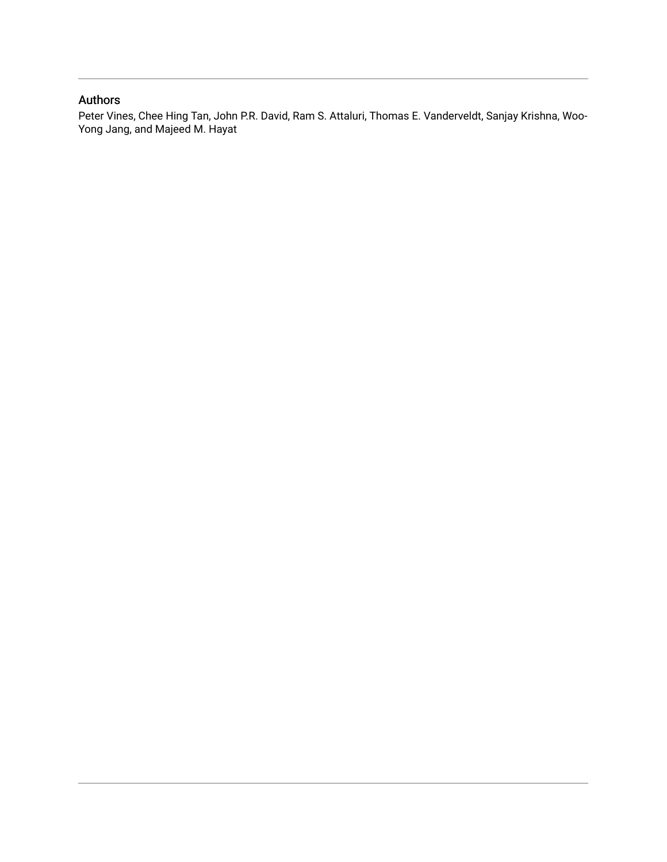#### Authors

Peter Vines, Chee Hing Tan, John P.R. David, Ram S. Attaluri, Thomas E. Vanderveldt, Sanjay Krishna, Woo-Yong Jang, and Majeed M. Hayat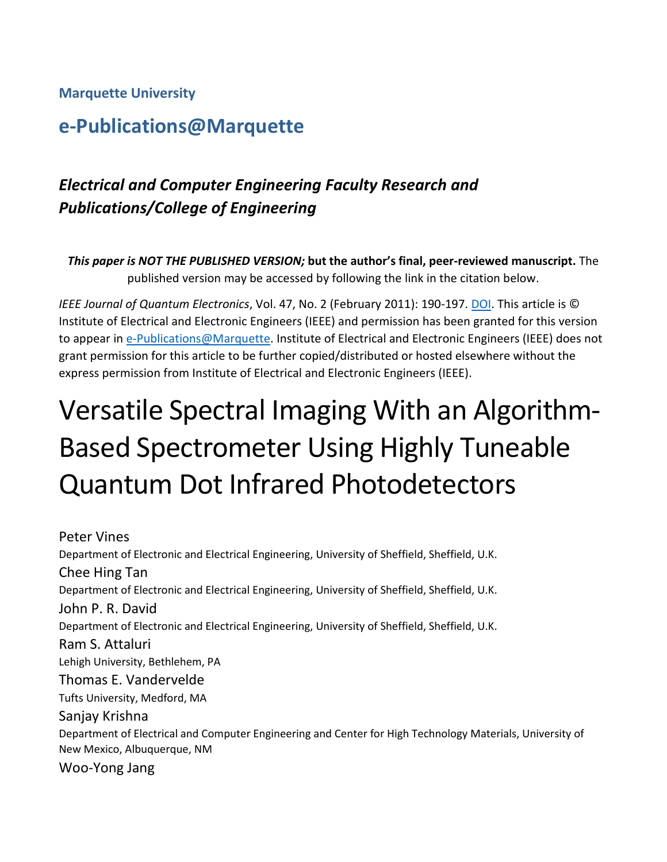#### **Marquette University**

# **e-Publications@Marquette**

# *Electrical and Computer Engineering Faculty Research and Publications/College of Engineering*

*This paper is NOT THE PUBLISHED VERSION;* **but the author's final, peer-reviewed manuscript.** The published version may be accessed by following the link in the citation below.

*IEEE Journal of Quantum Electronics*, Vol. 47, No. 2 (February 2011): 190-197. [DOI.](https://ieeexplore.ieee.org/document/5679845/references#references) This article is © Institute of Electrical and Electronic Engineers (IEEE) and permission has been granted for this version to appear in [e-Publications@Marquette.](http://epublications.marquette.edu/) Institute of Electrical and Electronic Engineers (IEEE) does not grant permission for this article to be further copied/distributed or hosted elsewhere without the express permission from Institute of Electrical and Electronic Engineers (IEEE).

# Versatile Spectral Imaging With an Algorithm-Based Spectrometer Using Highly Tuneable Quantum Dot Infrared Photodetectors

Peter Vines Department of Electronic and Electrical Engineering, University of Sheffield, Sheffield, U.K. Chee Hing Tan Department of Electronic and Electrical Engineering, University of Sheffield, Sheffield, U.K. John P. R. David Department of Electronic and Electrical Engineering, University of Sheffield, Sheffield, U.K. Ram S. Attaluri Lehigh University, Bethlehem, PA Thomas E. Vandervelde Tufts University, Medford, MA Sanjay Krishna Department of Electrical and Computer Engineering and Center for High Technology Materials, University of New Mexico, Albuquerque, NM Woo-Yong Jang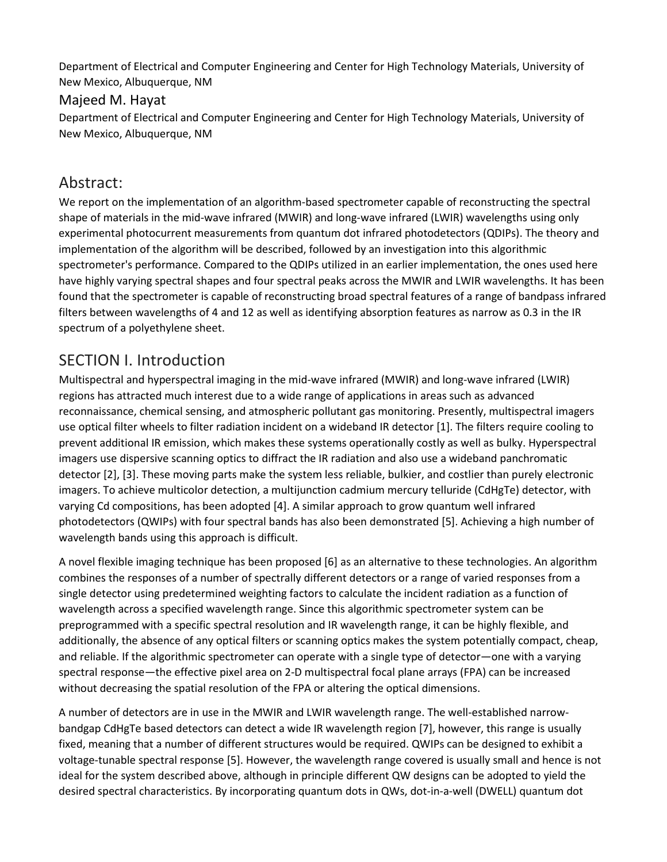Department of Electrical and Computer Engineering and Center for High Technology Materials, University of New Mexico, Albuquerque, NM

#### Majeed M. Hayat

Department of Electrical and Computer Engineering and Center for High Technology Materials, University of New Mexico, Albuquerque, NM

## Abstract:

We report on the implementation of an algorithm-based spectrometer capable of reconstructing the spectral shape of materials in the mid-wave infrared (MWIR) and long-wave infrared (LWIR) wavelengths using only experimental photocurrent measurements from quantum dot infrared photodetectors (QDIPs). The theory and implementation of the algorithm will be described, followed by an investigation into this algorithmic spectrometer's performance. Compared to the QDIPs utilized in an earlier implementation, the ones used here have highly varying spectral shapes and four spectral peaks across the MWIR and LWIR wavelengths. It has been found that the spectrometer is capable of reconstructing broad spectral features of a range of bandpass infrared filters between wavelengths of 4 and 12 as well as identifying absorption features as narrow as 0.3 in the IR spectrum of a polyethylene sheet.

# SECTION I. Introduction

Multispectral and hyperspectral imaging in the mid-wave infrared (MWIR) and long-wave infrared (LWIR) regions has attracted much interest due to a wide range of applications in areas such as advanced reconnaissance, chemical sensing, and atmospheric pollutant gas monitoring. Presently, multispectral imagers use optical filter wheels to filter radiation incident on a wideband IR detector [1]. The filters require cooling to prevent additional IR emission, which makes these systems operationally costly as well as bulky. Hyperspectral imagers use dispersive scanning optics to diffract the IR radiation and also use a wideband panchromatic detector [2], [3]. These moving parts make the system less reliable, bulkier, and costlier than purely electronic imagers. To achieve multicolor detection, a multijunction cadmium mercury telluride (CdHgTe) detector, with varying Cd compositions, has been adopted [4]. A similar approach to grow quantum well infrared photodetectors (QWIPs) with four spectral bands has also been demonstrated [5]. Achieving a high number of wavelength bands using this approach is difficult.

A novel flexible imaging technique has been proposed [6] as an alternative to these technologies. An algorithm combines the responses of a number of spectrally different detectors or a range of varied responses from a single detector using predetermined weighting factors to calculate the incident radiation as a function of wavelength across a specified wavelength range. Since this algorithmic spectrometer system can be preprogrammed with a specific spectral resolution and IR wavelength range, it can be highly flexible, and additionally, the absence of any optical filters or scanning optics makes the system potentially compact, cheap, and reliable. If the algorithmic spectrometer can operate with a single type of detector—one with a varying spectral response—the effective pixel area on 2-D multispectral focal plane arrays (FPA) can be increased without decreasing the spatial resolution of the FPA or altering the optical dimensions.

A number of detectors are in use in the MWIR and LWIR wavelength range. The well-established narrowbandgap CdHgTe based detectors can detect a wide IR wavelength region [7], however, this range is usually fixed, meaning that a number of different structures would be required. QWIPs can be designed to exhibit a voltage-tunable spectral response [5]. However, the wavelength range covered is usually small and hence is not ideal for the system described above, although in principle different QW designs can be adopted to yield the desired spectral characteristics. By incorporating quantum dots in QWs, dot-in-a-well (DWELL) quantum dot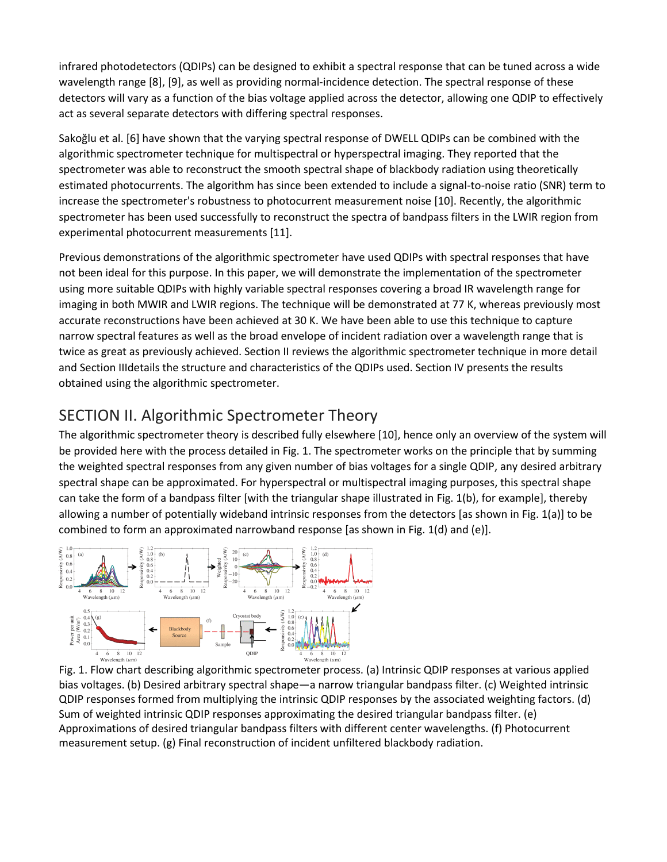infrared photodetectors (QDIPs) can be designed to exhibit a spectral response that can be tuned across a wide wavelength range [8], [9], as well as providing normal-incidence detection. The spectral response of these detectors will vary as a function of the bias voltage applied across the detector, allowing one QDIP to effectively act as several separate detectors with differing spectral responses.

Sakoğlu et al. [6] have shown that the varying spectral response of DWELL QDIPs can be combined with the algorithmic spectrometer technique for multispectral or hyperspectral imaging. They reported that the spectrometer was able to reconstruct the smooth spectral shape of blackbody radiation using theoretically estimated photocurrents. The algorithm has since been extended to include a signal-to-noise ratio (SNR) term to increase the spectrometer's robustness to photocurrent measurement noise [10]. Recently, the algorithmic spectrometer has been used successfully to reconstruct the spectra of bandpass filters in the LWIR region from experimental photocurrent measurements [11].

Previous demonstrations of the algorithmic spectrometer have used QDIPs with spectral responses that have not been ideal for this purpose. In this paper, we will demonstrate the implementation of the spectrometer using more suitable QDIPs with highly variable spectral responses covering a broad IR wavelength range for imaging in both MWIR and LWIR regions. The technique will be demonstrated at 77 K, whereas previously most accurate reconstructions have been achieved at 30 K. We have been able to use this technique to capture narrow spectral features as well as the broad envelope of incident radiation over a wavelength range that is twice as great as previously achieved. Section II reviews the algorithmic spectrometer technique in more detail and Section IIIdetails the structure and characteristics of the QDIPs used. Section IV presents the results obtained using the algorithmic spectrometer.

# SECTION II. Algorithmic Spectrometer Theory

The algorithmic spectrometer theory is described fully elsewhere [10], hence only an overview of the system will be provided here with the process detailed in Fig. 1. The spectrometer works on the principle that by summing the weighted spectral responses from any given number of bias voltages for a single QDIP, any desired arbitrary spectral shape can be approximated. For hyperspectral or multispectral imaging purposes, this spectral shape can take the form of a bandpass filter [with the triangular shape illustrated in Fig. 1(b), for example], thereby allowing a number of potentially wideband intrinsic responses from the detectors [as shown in Fig. 1(a)] to be combined to form an approximated narrowband response [as shown in Fig. 1(d) and (e)].



Fig. 1. Flow chart describing algorithmic spectrometer process. (a) Intrinsic QDIP responses at various applied bias voltages. (b) Desired arbitrary spectral shape—a narrow triangular bandpass filter. (c) Weighted intrinsic QDIP responses formed from multiplying the intrinsic QDIP responses by the associated weighting factors. (d) Sum of weighted intrinsic QDIP responses approximating the desired triangular bandpass filter. (e) Approximations of desired triangular bandpass filters with different center wavelengths. (f) Photocurrent measurement setup. (g) Final reconstruction of incident unfiltered blackbody radiation.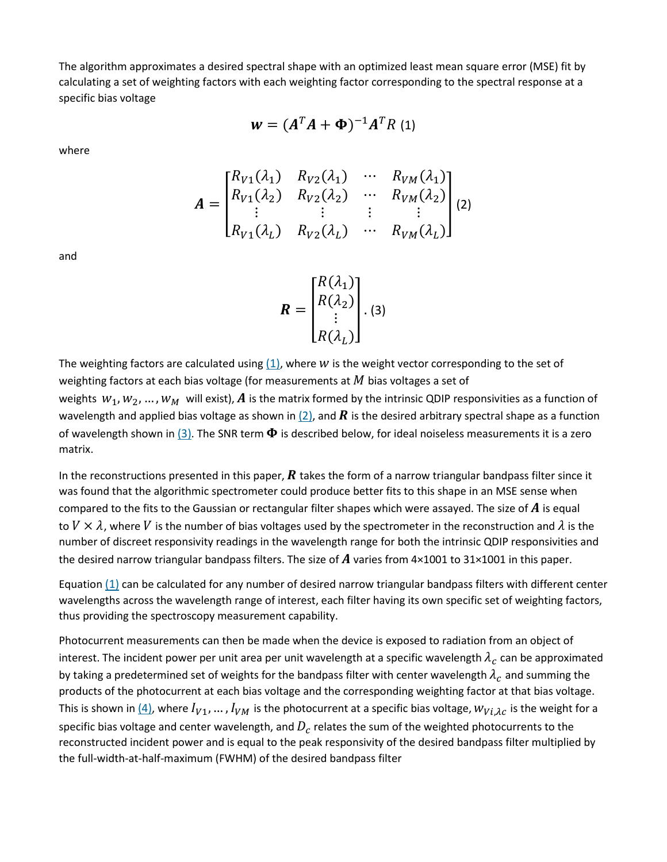The algorithm approximates a desired spectral shape with an optimized least mean square error (MSE) fit by calculating a set of weighting factors with each weighting factor corresponding to the spectral response at a specific bias voltage

$$
\mathbf{w} = (A^T A + \mathbf{\Phi})^{-1} A^T R
$$
 (1)

where

$$
A = \begin{bmatrix} R_{V1}(\lambda_1) & R_{V2}(\lambda_1) & \cdots & R_{VM}(\lambda_1) \\ R_{V1}(\lambda_2) & R_{V2}(\lambda_2) & \cdots & R_{VM}(\lambda_2) \\ \vdots & \vdots & \vdots & \vdots \\ R_{V1}(\lambda_L) & R_{V2}(\lambda_L) & \cdots & R_{VM}(\lambda_L) \end{bmatrix} (2)
$$

and

$$
\boldsymbol{R} = \begin{bmatrix} R(\lambda_1) \\ R(\lambda_2) \\ \vdots \\ R(\lambda_L) \end{bmatrix} . (3)
$$

The weighting factors are calculated using  $(1)$ , where W is the weight vector corresponding to the set of weighting factors at each bias voltage (for measurements at  $M$  bias voltages a set of weights  $w_1, w_2, ..., w_M$  will exist), A is the matrix formed by the intrinsic QDIP responsivities as a function of wavelength and applied bias voltage as shown in [\(2\),](https://ieeexplore.ieee.org/document/#deqn2) and **R** is the desired arbitrary spectral shape as a function of wavelength shown in [\(3\).](https://ieeexplore.ieee.org/document/#deqn3) The SNR term  $\Phi$  is described below, for ideal noiseless measurements it is a zero matrix.

In the reconstructions presented in this paper,  $\bm{R}$  takes the form of a narrow triangular bandpass filter since it was found that the algorithmic spectrometer could produce better fits to this shape in an MSE sense when compared to the fits to the Gaussian or rectangular filter shapes which were assayed. The size of  $\bm{A}$  is equal to  $V \times \lambda$ , where V is the number of bias voltages used by the spectrometer in the reconstruction and  $\lambda$  is the number of discreet responsivity readings in the wavelength range for both the intrinsic QDIP responsivities and the desired narrow triangular bandpass filters. The size of  $\vec{A}$  varies from 4×1001 to 31×1001 in this paper.

Equation  $(1)$  can be calculated for any number of desired narrow triangular bandpass filters with different center wavelengths across the wavelength range of interest, each filter having its own specific set of weighting factors, thus providing the spectroscopy measurement capability.

Photocurrent measurements can then be made when the device is exposed to radiation from an object of interest. The incident power per unit area per unit wavelength at a specific wavelength  $\lambda_c$  can be approximated by taking a predetermined set of weights for the bandpass filter with center wavelength  $\lambda_c$  and summing the products of the photocurrent at each bias voltage and the corresponding weighting factor at that bias voltage. This is shown in  $(4)$ , where  $I_{V1}$ , ...,  $I_{VM}$  is the photocurrent at a specific bias voltage,  $W_{Vi, \lambda c}$  is the weight for a specific bias voltage and center wavelength, and  $D_c$  relates the sum of the weighted photocurrents to the reconstructed incident power and is equal to the peak responsivity of the desired bandpass filter multiplied by the full-width-at-half-maximum (FWHM) of the desired bandpass filter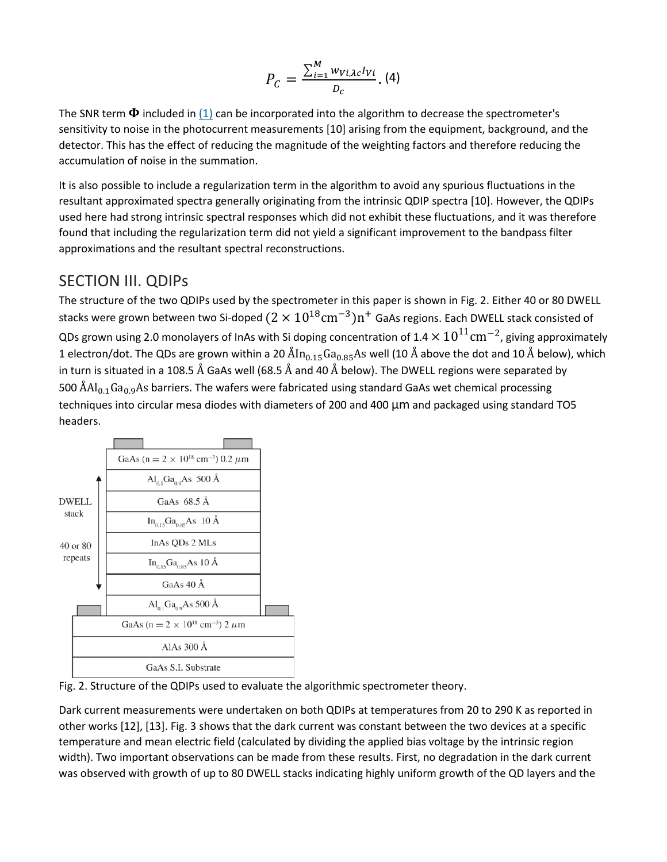$$
P_C = \frac{\sum_{i=1}^{M} w_{Vi, \lambda c} I_{Vi}}{D_c}.
$$
 (4)

The SNR term  $\Phi$  included in  $(1)$  can be incorporated into the algorithm to decrease the spectrometer's sensitivity to noise in the photocurrent measurements [10] arising from the equipment, background, and the detector. This has the effect of reducing the magnitude of the weighting factors and therefore reducing the accumulation of noise in the summation.

It is also possible to include a regularization term in the algorithm to avoid any spurious fluctuations in the resultant approximated spectra generally originating from the intrinsic QDIP spectra [10]. However, the QDIPs used here had strong intrinsic spectral responses which did not exhibit these fluctuations, and it was therefore found that including the regularization term did not yield a significant improvement to the bandpass filter approximations and the resultant spectral reconstructions.

## SECTION III. QDIPs

The structure of the two QDIPs used by the spectrometer in this paper is shown in Fig. 2. Either 40 or 80 DWELL stacks were grown between two Si-doped  $(2 \times 10^{18} \text{cm}^{-3})$ n<sup>+</sup> GaAs regions. Each DWELL stack consisted of QDs grown using 2.0 monolayers of InAs with Si doping concentration of 1.4  $\times 10^{11}$ cm<sup>-2</sup>, giving approximately 1 electron/dot. The QDs are grown within a 20  $\rm{\AA}n_{0.15}Ga_{0.85}As$  well (10 Å above the dot and 10 Å below), which in turn is situated in a 108.5 Å GaAs well (68.5 Å and 40 Å below). The DWELL regions were separated by 500  $\rm{AAI}_{0.1}Ga_{0.9}As$  barriers. The wafers were fabricated using standard GaAs wet chemical processing techniques into circular mesa diodes with diameters of 200 and 400 μm and packaged using standard TO5 headers.



Fig. 2. Structure of the QDIPs used to evaluate the algorithmic spectrometer theory.

Dark current measurements were undertaken on both QDIPs at temperatures from 20 to 290 K as reported in other works [12], [13]. Fig. 3 shows that the dark current was constant between the two devices at a specific temperature and mean electric field (calculated by dividing the applied bias voltage by the intrinsic region width). Two important observations can be made from these results. First, no degradation in the dark current was observed with growth of up to 80 DWELL stacks indicating highly uniform growth of the QD layers and the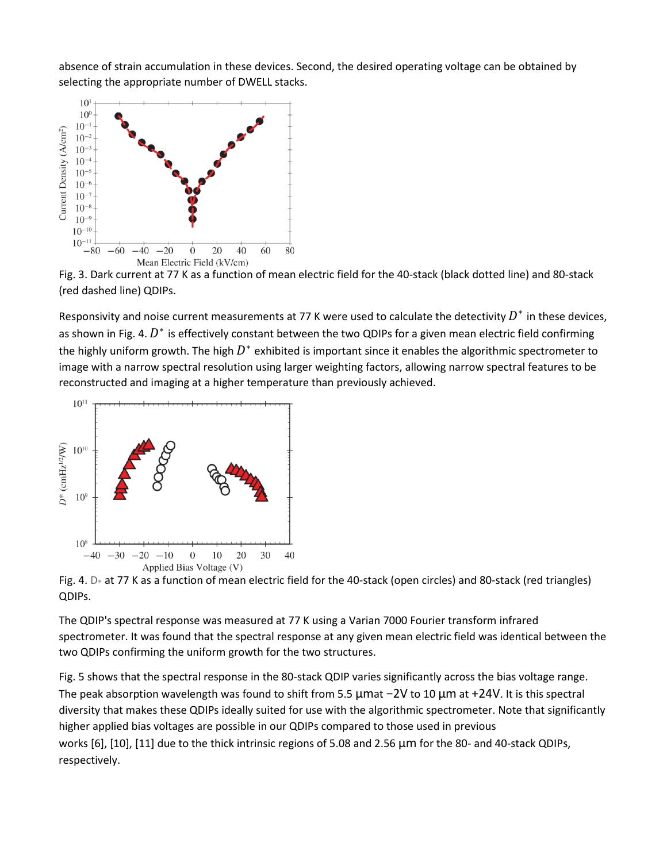absence of strain accumulation in these devices. Second, the desired operating voltage can be obtained by selecting the appropriate number of DWELL stacks.



Fig. 3. Dark current at 77 K as a function of mean electric field for the 40-stack (black dotted line) and 80-stack (red dashed line) QDIPs.

Responsivity and noise current measurements at 77 K were used to calculate the detectivity  $D^*$  in these devices, as shown in Fig. 4.  $D^*$  is effectively constant between the two QDIPs for a given mean electric field confirming the highly uniform growth. The high  $D^*$  exhibited is important since it enables the algorithmic spectrometer to image with a narrow spectral resolution using larger weighting factors, allowing narrow spectral features to be reconstructed and imaging at a higher temperature than previously achieved.



Fig. 4. D<sup>∗</sup> at 77 K as a function of mean electric field for the 40-stack (open circles) and 80-stack (red triangles) QDIPs.

The QDIP's spectral response was measured at 77 K using a Varian 7000 Fourier transform infrared spectrometer. It was found that the spectral response at any given mean electric field was identical between the two QDIPs confirming the uniform growth for the two structures.

Fig. 5 shows that the spectral response in the 80-stack QDIP varies significantly across the bias voltage range. The peak absorption wavelength was found to shift from 5.5 μmat −2V to 10 μm at +24V. It is this spectral diversity that makes these QDIPs ideally suited for use with the algorithmic spectrometer. Note that significantly higher applied bias voltages are possible in our QDIPs compared to those used in previous works [6], [10], [11] due to the thick intrinsic regions of 5.08 and 2.56 μm for the 80- and 40-stack QDIPs,

respectively.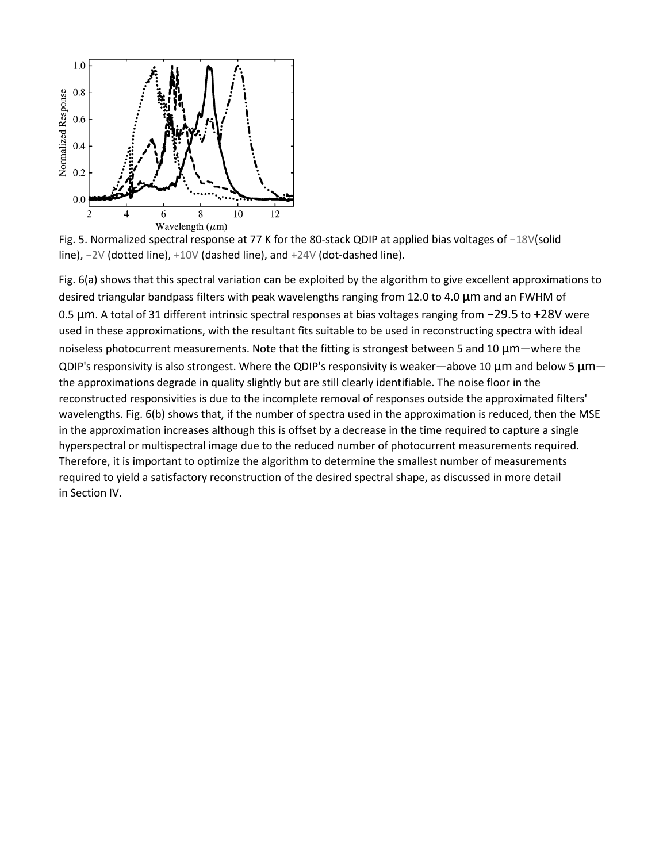

Fig. 5. Normalized spectral response at 77 K for the 80-stack QDIP at applied bias voltages of −18V(solid line), −2V (dotted line), +10V (dashed line), and +24V (dot-dashed line).

Fig. 6(a) shows that this spectral variation can be exploited by the algorithm to give excellent approximations to desired triangular bandpass filters with peak wavelengths ranging from 12.0 to 4.0 μm and an FWHM of 0.5 μm. A total of 31 different intrinsic spectral responses at bias voltages ranging from −29.5 to +28V were used in these approximations, with the resultant fits suitable to be used in reconstructing spectra with ideal noiseless photocurrent measurements. Note that the fitting is strongest between 5 and 10 μm—where the QDIP's responsivity is also strongest. Where the QDIP's responsivity is weaker—above 10 μm and below 5 μm the approximations degrade in quality slightly but are still clearly identifiable. The noise floor in the reconstructed responsivities is due to the incomplete removal of responses outside the approximated filters' wavelengths. Fig. 6(b) shows that, if the number of spectra used in the approximation is reduced, then the MSE in the approximation increases although this is offset by a decrease in the time required to capture a single hyperspectral or multispectral image due to the reduced number of photocurrent measurements required. Therefore, it is important to optimize the algorithm to determine the smallest number of measurements required to yield a satisfactory reconstruction of the desired spectral shape, as discussed in more detail in Section IV.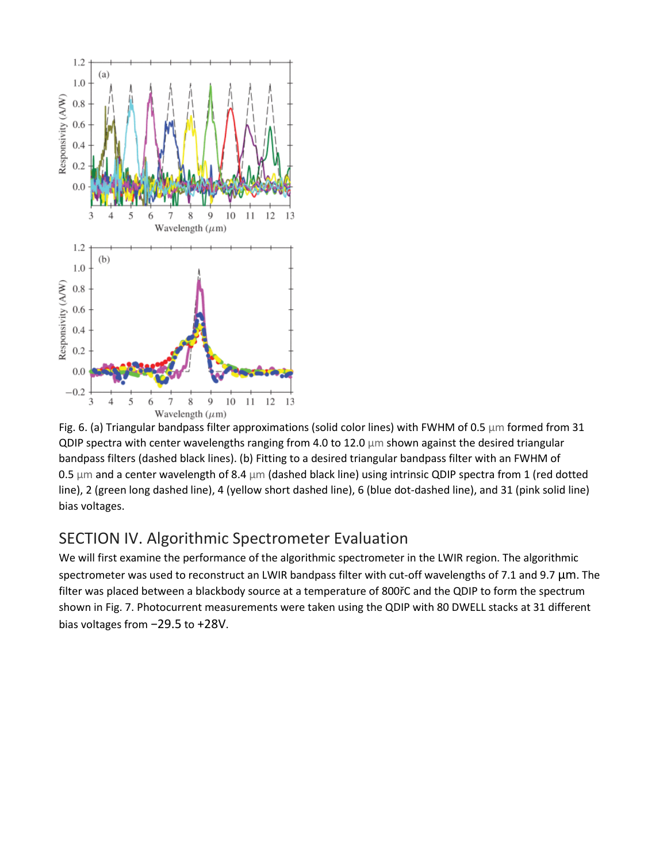

Fig. 6. (a) Triangular bandpass filter approximations (solid color lines) with FWHM of 0.5  $\mu$ m formed from 31 QDIP spectra with center wavelengths ranging from 4.0 to 12.0 μm shown against the desired triangular bandpass filters (dashed black lines). (b) Fitting to a desired triangular bandpass filter with an FWHM of 0.5 μm and a center wavelength of 8.4 μm (dashed black line) using intrinsic QDIP spectra from 1 (red dotted line), 2 (green long dashed line), 4 (yellow short dashed line), 6 (blue dot-dashed line), and 31 (pink solid line) bias voltages.

# SECTION IV. Algorithmic Spectrometer Evaluation

We will first examine the performance of the algorithmic spectrometer in the LWIR region. The algorithmic spectrometer was used to reconstruct an LWIR bandpass filter with cut-off wavelengths of 7.1 and 9.7 μm. The filter was placed between a blackbody source at a temperature of 800řC and the QDIP to form the spectrum shown in Fig. 7. Photocurrent measurements were taken using the QDIP with 80 DWELL stacks at 31 different bias voltages from −29.5 to +28V.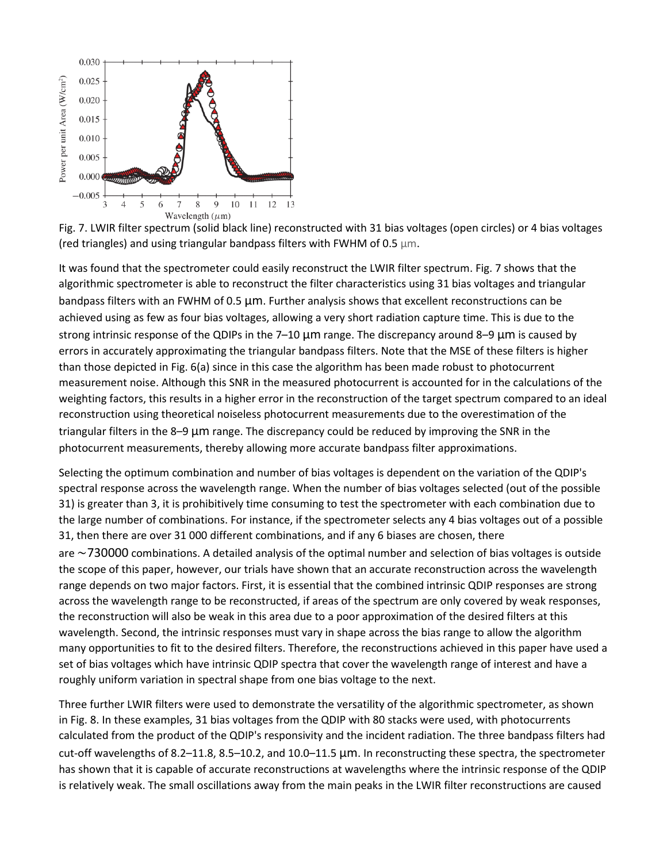



It was found that the spectrometer could easily reconstruct the LWIR filter spectrum. Fig. 7 shows that the algorithmic spectrometer is able to reconstruct the filter characteristics using 31 bias voltages and triangular bandpass filters with an FWHM of 0.5 μm. Further analysis shows that excellent reconstructions can be achieved using as few as four bias voltages, allowing a very short radiation capture time. This is due to the strong intrinsic response of the QDIPs in the 7–10 μm range. The discrepancy around 8–9 μm is caused by errors in accurately approximating the triangular bandpass filters. Note that the MSE of these filters is higher than those depicted in Fig. 6(a) since in this case the algorithm has been made robust to photocurrent measurement noise. Although this SNR in the measured photocurrent is accounted for in the calculations of the weighting factors, this results in a higher error in the reconstruction of the target spectrum compared to an ideal reconstruction using theoretical noiseless photocurrent measurements due to the overestimation of the triangular filters in the 8–9 μm range. The discrepancy could be reduced by improving the SNR in the photocurrent measurements, thereby allowing more accurate bandpass filter approximations.

Selecting the optimum combination and number of bias voltages is dependent on the variation of the QDIP's spectral response across the wavelength range. When the number of bias voltages selected (out of the possible 31) is greater than 3, it is prohibitively time consuming to test the spectrometer with each combination due to the large number of combinations. For instance, if the spectrometer selects any 4 bias voltages out of a possible 31, then there are over 31 000 different combinations, and if any 6 biases are chosen, there are ∼730000 combinations. A detailed analysis of the optimal number and selection of bias voltages is outside the scope of this paper, however, our trials have shown that an accurate reconstruction across the wavelength range depends on two major factors. First, it is essential that the combined intrinsic QDIP responses are strong across the wavelength range to be reconstructed, if areas of the spectrum are only covered by weak responses, the reconstruction will also be weak in this area due to a poor approximation of the desired filters at this wavelength. Second, the intrinsic responses must vary in shape across the bias range to allow the algorithm many opportunities to fit to the desired filters. Therefore, the reconstructions achieved in this paper have used a set of bias voltages which have intrinsic QDIP spectra that cover the wavelength range of interest and have a roughly uniform variation in spectral shape from one bias voltage to the next.

Three further LWIR filters were used to demonstrate the versatility of the algorithmic spectrometer, as shown in Fig. 8. In these examples, 31 bias voltages from the QDIP with 80 stacks were used, with photocurrents calculated from the product of the QDIP's responsivity and the incident radiation. The three bandpass filters had cut-off wavelengths of 8.2–11.8, 8.5–10.2, and 10.0–11.5 μm. In reconstructing these spectra, the spectrometer has shown that it is capable of accurate reconstructions at wavelengths where the intrinsic response of the QDIP is relatively weak. The small oscillations away from the main peaks in the LWIR filter reconstructions are caused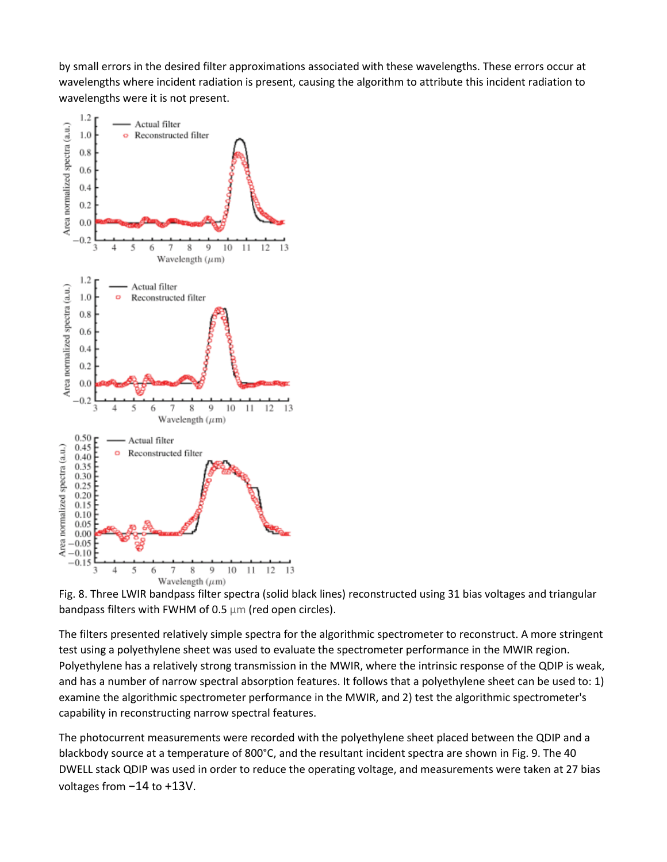by small errors in the desired filter approximations associated with these wavelengths. These errors occur at wavelengths where incident radiation is present, causing the algorithm to attribute this incident radiation to wavelengths were it is not present.



Fig. 8. Three LWIR bandpass filter spectra (solid black lines) reconstructed using 31 bias voltages and triangular bandpass filters with FWHM of 0.5 μm (red open circles).

The filters presented relatively simple spectra for the algorithmic spectrometer to reconstruct. A more stringent test using a polyethylene sheet was used to evaluate the spectrometer performance in the MWIR region. Polyethylene has a relatively strong transmission in the MWIR, where the intrinsic response of the QDIP is weak, and has a number of narrow spectral absorption features. It follows that a polyethylene sheet can be used to: 1) examine the algorithmic spectrometer performance in the MWIR, and 2) test the algorithmic spectrometer's capability in reconstructing narrow spectral features.

The photocurrent measurements were recorded with the polyethylene sheet placed between the QDIP and a blackbody source at a temperature of 800°C, and the resultant incident spectra are shown in Fig. 9. The 40 DWELL stack QDIP was used in order to reduce the operating voltage, and measurements were taken at 27 bias voltages from −14 to +13V.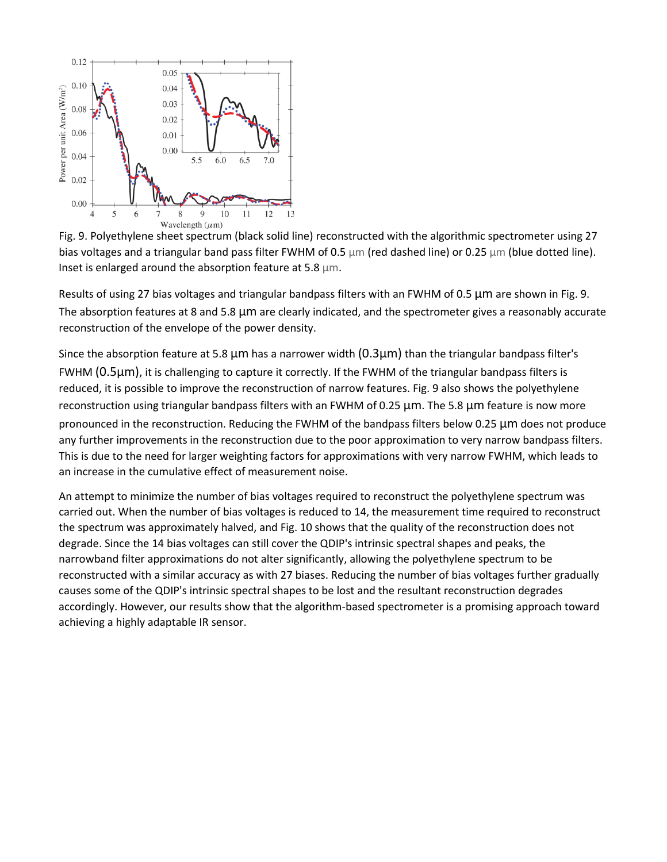

Fig. 9. Polyethylene sheet spectrum (black solid line) reconstructed with the algorithmic spectrometer using 27 bias voltages and a triangular band pass filter FWHM of 0.5 μm (red dashed line) or 0.25 μm (blue dotted line). Inset is enlarged around the absorption feature at 5.8 μm.

Results of using 27 bias voltages and triangular bandpass filters with an FWHM of 0.5 μm are shown in Fig. 9. The absorption features at 8 and 5.8 μm are clearly indicated, and the spectrometer gives a reasonably accurate reconstruction of the envelope of the power density.

Since the absorption feature at 5.8  $\mu$ m has a narrower width (0.3 $\mu$ m) than the triangular bandpass filter's FWHM (0.5μm), it is challenging to capture it correctly. If the FWHM of the triangular bandpass filters is reduced, it is possible to improve the reconstruction of narrow features. Fig. 9 also shows the polyethylene reconstruction using triangular bandpass filters with an FWHM of 0.25 μm. The 5.8 μm feature is now more pronounced in the reconstruction. Reducing the FWHM of the bandpass filters below 0.25 μm does not produce any further improvements in the reconstruction due to the poor approximation to very narrow bandpass filters. This is due to the need for larger weighting factors for approximations with very narrow FWHM, which leads to an increase in the cumulative effect of measurement noise.

An attempt to minimize the number of bias voltages required to reconstruct the polyethylene spectrum was carried out. When the number of bias voltages is reduced to 14, the measurement time required to reconstruct the spectrum was approximately halved, and Fig. 10 shows that the quality of the reconstruction does not degrade. Since the 14 bias voltages can still cover the QDIP's intrinsic spectral shapes and peaks, the narrowband filter approximations do not alter significantly, allowing the polyethylene spectrum to be reconstructed with a similar accuracy as with 27 biases. Reducing the number of bias voltages further gradually causes some of the QDIP's intrinsic spectral shapes to be lost and the resultant reconstruction degrades accordingly. However, our results show that the algorithm-based spectrometer is a promising approach toward achieving a highly adaptable IR sensor.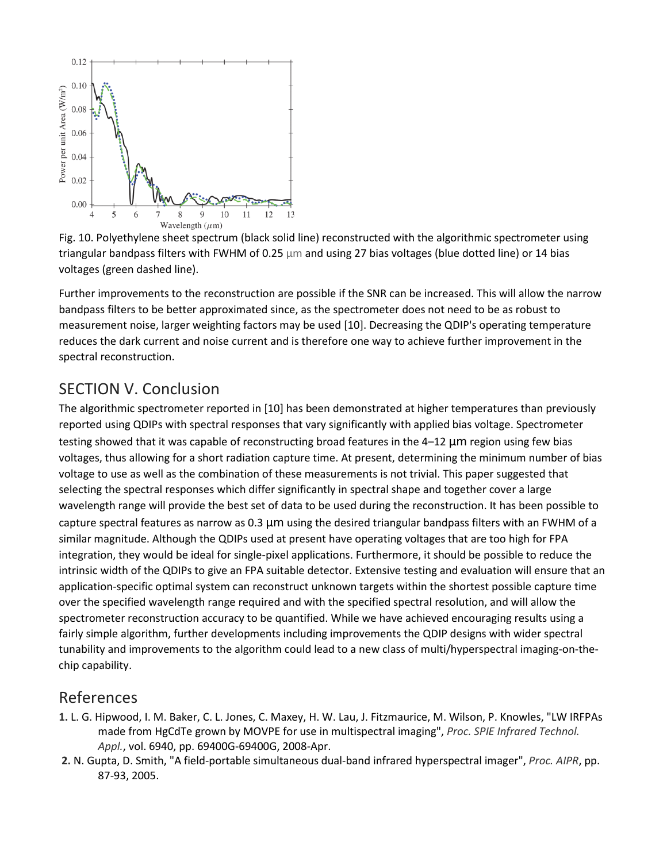

Fig. 10. Polyethylene sheet spectrum (black solid line) reconstructed with the algorithmic spectrometer using triangular bandpass filters with FWHM of 0.25 μm and using 27 bias voltages (blue dotted line) or 14 bias voltages (green dashed line).

Further improvements to the reconstruction are possible if the SNR can be increased. This will allow the narrow bandpass filters to be better approximated since, as the spectrometer does not need to be as robust to measurement noise, larger weighting factors may be used [10]. Decreasing the QDIP's operating temperature reduces the dark current and noise current and is therefore one way to achieve further improvement in the spectral reconstruction.

# SECTION V. Conclusion

The algorithmic spectrometer reported in [10] has been demonstrated at higher temperatures than previously reported using QDIPs with spectral responses that vary significantly with applied bias voltage. Spectrometer testing showed that it was capable of reconstructing broad features in the 4–12 μm region using few bias voltages, thus allowing for a short radiation capture time. At present, determining the minimum number of bias voltage to use as well as the combination of these measurements is not trivial. This paper suggested that selecting the spectral responses which differ significantly in spectral shape and together cover a large wavelength range will provide the best set of data to be used during the reconstruction. It has been possible to capture spectral features as narrow as 0.3 μm using the desired triangular bandpass filters with an FWHM of a similar magnitude. Although the QDIPs used at present have operating voltages that are too high for FPA integration, they would be ideal for single-pixel applications. Furthermore, it should be possible to reduce the intrinsic width of the QDIPs to give an FPA suitable detector. Extensive testing and evaluation will ensure that an application-specific optimal system can reconstruct unknown targets within the shortest possible capture time over the specified wavelength range required and with the specified spectral resolution, and will allow the spectrometer reconstruction accuracy to be quantified. While we have achieved encouraging results using a fairly simple algorithm, further developments including improvements the QDIP designs with wider spectral tunability and improvements to the algorithm could lead to a new class of multi/hyperspectral imaging-on-thechip capability.

## References

- **1.** L. G. Hipwood, I. M. Baker, C. L. Jones, C. Maxey, H. W. Lau, J. Fitzmaurice, M. Wilson, P. Knowles, "LW IRFPAs made from HgCdTe grown by MOVPE for use in multispectral imaging", *Proc. SPIE Infrared Technol. Appl.*, vol. 6940, pp. 69400G-69400G, 2008-Apr.
- **2.** N. Gupta, D. Smith, "A field-portable simultaneous dual-band infrared hyperspectral imager", *Proc. AIPR*, pp. 87-93, 2005.